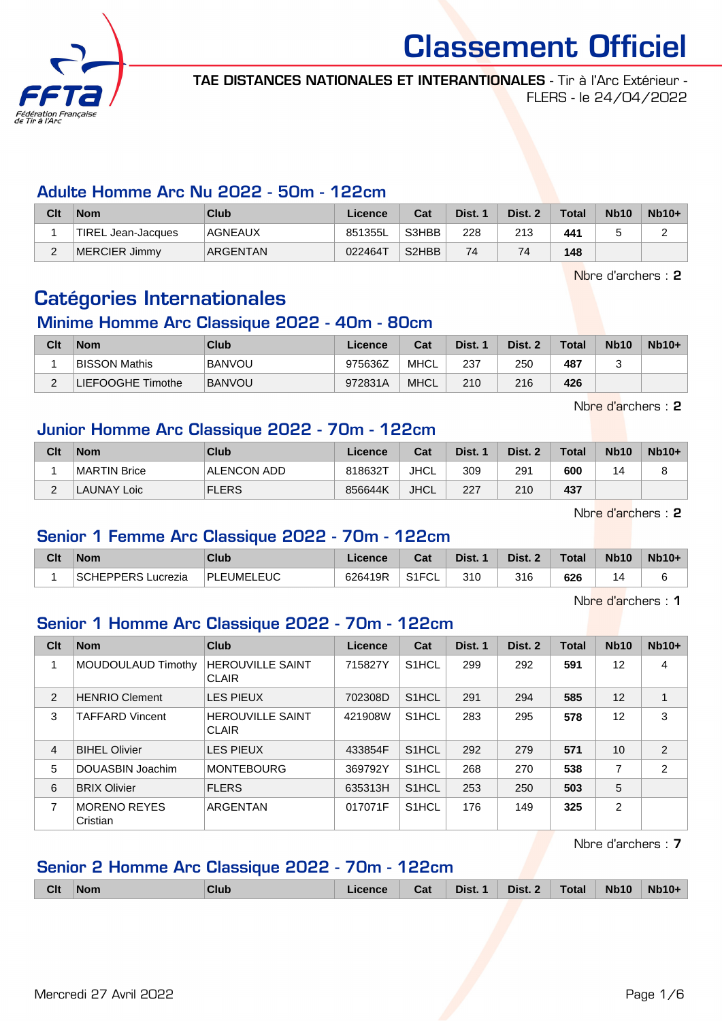

TAE DISTANCES NATIONALES ET INTERANTIONALES - Tir à l'Arc Extérieur - FLERS - le 24/04/2022

#### Adulte Homme Arc Nu 2022 - 50m - 122cm

| Clt | <b>Nom</b>         | <b>Club</b>    | Licence | Cat                            | Dist. 1 | Dist. 2 | <b>Total</b> | <b>Nb10</b> | $Nb10+$ |
|-----|--------------------|----------------|---------|--------------------------------|---------|---------|--------------|-------------|---------|
|     | TIREL Jean-Jacques | <b>AGNEAUX</b> | 851355L | S3HBB                          | 228     | 213     | 441          |             |         |
| _   | MERCIER Jimmy      | ARGENTAN       | 022464T | S <sub>2</sub> H <sub>BB</sub> | 74      | 74      | 148          |             |         |

Nbre d'archers : 2

## Catégories Internationales

#### Minime Homme Arc Classique 2022 - 40m - 80cm

| Clt | <b>Nom</b>           | Club          | Licence | Cat         | Dist. 1 | Dist. 2 | <b>Total</b> | <b>Nb10</b> | $Nb10+$ |
|-----|----------------------|---------------|---------|-------------|---------|---------|--------------|-------------|---------|
|     | <b>BISSON Mathis</b> | <b>BANVOU</b> | 975636Z | MHCL        | 237     | 250     | 487          |             |         |
|     | LIEFOOGHE Timothe    | <b>BANVOU</b> | 972831A | <b>MHCL</b> | 210     | 216     | 426          |             |         |

Nbre d'archers : 2

#### Junior Homme Arc Classique 2022 - 70m - 122cm

| Clt | <b>Nom</b>   | Club         | Licence | Cat         | Dist. 1 | Dist. 2 | <b>Total</b> | <b>Nb10</b> | $Nb10+$ |
|-----|--------------|--------------|---------|-------------|---------|---------|--------------|-------------|---------|
|     | MARTIN Brice | ALENCON ADD  | 818632T | JHCL        | 309     | 291     | 600          | 14          |         |
| ີ   | LAUNAY Loic  | <b>FLERS</b> | 856644K | <b>JHCL</b> | 227     | 210     | 437          |             |         |

Nbre d'archers : 2

#### Senior 1 Femme Arc Classique 2022 - 70m - 122cm

| Clt | <b>Nom</b>         | Club       | Licence | Cat   | Dist. | Dist. 2 | Total | <b>Nb10</b> | $Nb10+$ |
|-----|--------------------|------------|---------|-------|-------|---------|-------|-------------|---------|
|     | SCHEPPERS Lucrezia | PLEUMELEUC | 626419R | S1FCL | 310   | 316     | 626   |             |         |

Nbre d'archers : 1

#### Senior 1 Homme Arc Classique 2022 - 70m - 122cm

| Clt | <b>Nom</b>               | Club                                    | <b>Licence</b> | Cat                | Dist. 1 | Dist. 2 | <b>Total</b> | <b>Nb10</b>    | $Nb10+$        |
|-----|--------------------------|-----------------------------------------|----------------|--------------------|---------|---------|--------------|----------------|----------------|
|     | MOUDOULAUD Timothy       | <b>HEROUVILLE SAINT</b><br><b>CLAIR</b> | 715827Y        | S <sub>1</sub> HCL | 299     | 292     | 591          | 12             | 4              |
| 2   | <b>HENRIO Clement</b>    | <b>LES PIEUX</b>                        | 702308D        | S <sub>1</sub> HCL | 291     | 294     | 585          | 12             |                |
| 3   | <b>TAFFARD Vincent</b>   | <b>HEROUVILLE SAINT</b><br><b>CLAIR</b> | 421908W        | S <sub>1</sub> HCL | 283     | 295     | 578          | 12             | 3              |
| 4   | <b>BIHEL Olivier</b>     | <b>LES PIEUX</b>                        | 433854F        | S <sub>1</sub> HCL | 292     | 279     | 571          | 10             | $\overline{2}$ |
| 5   | DOUASBIN Joachim         | <b>MONTEBOURG</b>                       | 369792Y        | S <sub>1</sub> HCL | 268     | 270     | 538          | 7              | $\overline{2}$ |
| 6   | <b>BRIX Olivier</b>      | <b>FLERS</b>                            | 635313H        | S <sub>1</sub> HCL | 253     | 250     | 503          | 5              |                |
| 7   | MORENO REYES<br>Cristian | ARGENTAN                                | 017071F        | S <sub>1</sub> HCL | 176     | 149     | 325          | $\overline{2}$ |                |

Nbre d'archers : 7

#### Senior 2 Homme Arc Classique 2022 - 70m - 122cm

|  | <b>Clt</b> | <b>Nom</b> | Club |  | Cat | Dist. 1 | Dist. 2 | <b>Total</b> | <b>Nb10</b> | $Nb10+$ |
|--|------------|------------|------|--|-----|---------|---------|--------------|-------------|---------|
|--|------------|------------|------|--|-----|---------|---------|--------------|-------------|---------|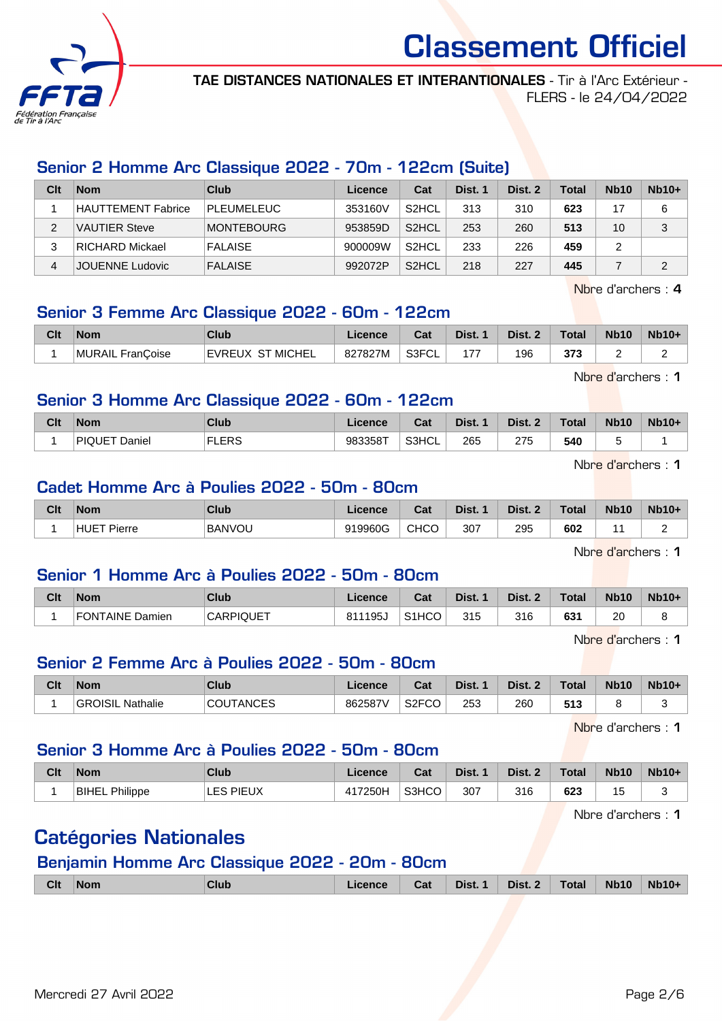

TAE DISTANCES NATIONALES ET INTERANTIONALES - Tir à l'Arc Extérieur - FLERS - le 24/04/2022

## Senior 2 Homme Arc Classique 2022 - 70m - 122cm (Suite)

| Clt | <b>Nom</b>             | Club              | Licence | Cat                | Dist. 1 | Dist. 2 | <b>Total</b> | <b>Nb10</b> | $Nb10+$ |
|-----|------------------------|-------------------|---------|--------------------|---------|---------|--------------|-------------|---------|
|     | HAUTTEMENT Fabrice     | <b>PLEUMELEUC</b> | 353160V | S <sub>2</sub> HCL | 313     | 310     | 623          | 17          | 6       |
| 2   | <b>VAUTIER Steve</b>   | <b>MONTEBOURG</b> | 953859D | S <sub>2</sub> HCL | 253     | 260     | 513          | 10          | 3       |
| 3   | <b>RICHARD Mickael</b> | <b>FALAISE</b>    | 900009W | S <sub>2</sub> HCL | 233     | 226     | 459          |             |         |
| 4   | JOUENNE Ludovic        | <b>FALAISE</b>    | 992072P | S <sub>2</sub> HCL | 218     | 227     | 445          |             | っ       |

Nbre d'archers : 4

## Senior 3 Femme Arc Classique 2022 - 60m - 122cm

| Clt | <b>Nom</b>       | Club             | Licence | <b>Cost</b><br>⊍dt | Dist. | Dist. 2 | <b>Total</b> | <b>Nb10</b> | <b>Nb10+</b> |
|-----|------------------|------------------|---------|--------------------|-------|---------|--------------|-------------|--------------|
|     | MURAIL FranCoise | EVREUX ST MICHEL | 827827M | S3FCL              |       | 196     | 373          | -           | -            |

Nbre d'archers : 1

#### Senior 3 Homme Arc Classique 2022 - 60m - 122cm

| Clt | <b>Nom</b>               | Club         | Licence | Cat   | Dist. | Dist. 2 | <b>Total</b> | <b>Nb10</b> | <b>Nb10+</b> |
|-----|--------------------------|--------------|---------|-------|-------|---------|--------------|-------------|--------------|
|     | <b>IPIQUET</b><br>Daniel | <b>FLERS</b> | 983358T | S3HCL | 265   | つフド     | 540          | ∼           |              |

Nbre d'archers : 1

#### Cadet Homme Arc à Poulies 2022 - 50m - 80cm

| Clt | <b>Nom</b>     | <b>Club</b>   | Licence | <b>Col</b><br>udl | Dist. | Dist. 2 | <b>Total</b> | <b>Nb10</b> | <b>Nb10+</b> |
|-----|----------------|---------------|---------|-------------------|-------|---------|--------------|-------------|--------------|
|     | HUET<br>Pierre | <b>BANVOU</b> | 919960G | <b>CHCC</b>       | 307   | 295     | 602          |             |              |

Nbre d'archers : 1

#### Senior 1 Homme Arc à Poulies 2022 - 50m - 80cm

| Clt | <b>Nom</b>      | Club             | Licence      | ่ ี่<br>⊍aι        | Dist. | Dist. | Total | <b>Nb10</b> | <b>Nb10+</b> |
|-----|-----------------|------------------|--------------|--------------------|-------|-------|-------|-------------|--------------|
|     | FONTAINE Damien | <b>CARPIQUET</b> | `195ບ<br>811 | S <sub>1</sub> HCO | 315   | 316   | 631   | 20          | -            |

Nbre d'archers : 1

#### Senior 2 Femme Arc à Poulies 2022 - 50m - 80cm

| Clt | <b>Nom</b>                 | Club             | Licence | <b>Dol</b><br>⊍⊿        | Dist. | Dist. | $\tau$ otal | <b>Nb10</b> | $Nb10+$ |
|-----|----------------------------|------------------|---------|-------------------------|-------|-------|-------------|-------------|---------|
|     | <b>GROISIL</b><br>Nathalie | <b>COUTANCES</b> | 862587V | S <sub>2</sub> FCO<br>w | 253   | 260   | 513         |             |         |

Nbre d'archers : 1

#### Senior 3 Homme Arc à Poulies 2022 - 50m - 80cm

| Clt | <b>Nom</b>               | Club         | ∟icence | $r_{\alpha+1}$<br>⊍તા | Dist. | Dist. 2 | Total | <b>Nb10</b> | <b>Nb10+</b> |
|-----|--------------------------|--------------|---------|-----------------------|-------|---------|-------|-------------|--------------|
|     | Philippe<br><b>BIHEL</b> | <b>PIEUX</b> | 417250H | S3HCO                 | 307   | 316     | 623   | 15          | . .          |

Nbre d'archers : 1

## Catégories Nationales

#### Benjamin Homme Arc Classique 2022 - 20m - 80cm

|  | <b>Clt</b> | ⊺Nom | Club | icence | Cat | Dist. 1 | Dist. 2 | Total | <b>Nb10</b> | <b>Nb10-</b> |
|--|------------|------|------|--------|-----|---------|---------|-------|-------------|--------------|
|--|------------|------|------|--------|-----|---------|---------|-------|-------------|--------------|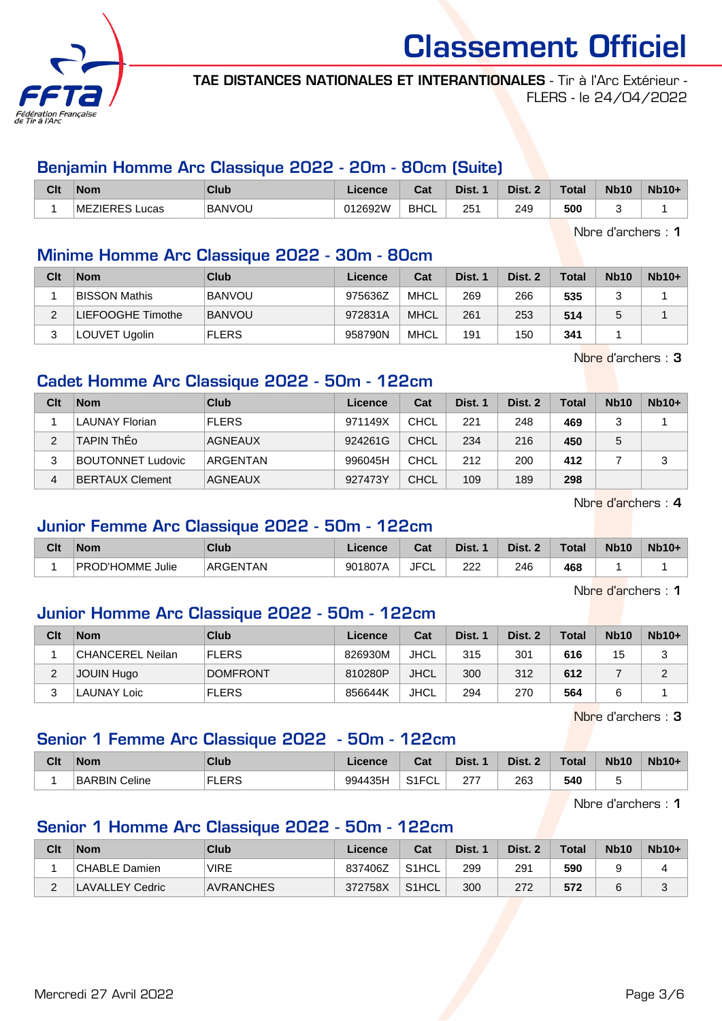

TAE DISTANCES NATIONALES ET INTERANTIONALES - Tir à l'Arc Extérieur - FLERS - le 24/04/2022

## Benjamin Homme Arc Classique 2022 - 20m - 80cm (Suite)

| Clt | <b>Nom</b>               | Club          | Licence | ו ה<br>⊍d   | Dist. | Dist. | <b>Total</b> | <b>Nb10</b> | $Nb10+$ |
|-----|--------------------------|---------------|---------|-------------|-------|-------|--------------|-------------|---------|
|     | <b>MEZIERES</b><br>∟ucas | <b>BANVOU</b> | 012692W | <b>BHCL</b> | 251   | 249   | 500          |             |         |

Nbre d'archers : 1

## Minime Homme Arc Classique 2022 - 30m - 80cm

| Clt | <b>Nom</b>           | Club          | Licence | Cat         | Dist. 1 | Dist. 2 | Total | <b>Nb10</b> | $Nb10+$ |
|-----|----------------------|---------------|---------|-------------|---------|---------|-------|-------------|---------|
|     | <b>BISSON Mathis</b> | <b>BANVOU</b> | 975636Z | <b>MHCL</b> | 269     | 266     | 535   |             |         |
|     | LIEFOOGHE Timothe    | <b>BANVOU</b> | 972831A | <b>MHCL</b> | 261     | 253     | 514   |             |         |
|     | LOUVET Ugolin        | <b>FLERS</b>  | 958790N | MHCL        | 191     | 150     | 341   |             |         |

Nbre d'archers : 3

## Cadet Homme Arc Classique 2022 - 50m - 122cm

| Clt | <b>Nom</b>               | Club           | Licence | Cat         | Dist. 1 | Dist. 2 | <b>Total</b> | <b>Nb10</b> | $Nb10+$ |
|-----|--------------------------|----------------|---------|-------------|---------|---------|--------------|-------------|---------|
|     | <b>LAUNAY Florian</b>    | <b>FLERS</b>   | 971149X | <b>CHCL</b> | 221     | 248     | 469          |             |         |
|     | <b>TAPIN ThEo</b>        | <b>AGNEAUX</b> | 924261G | <b>CHCL</b> | 234     | 216     | 450          | 5           |         |
| 3   | <b>BOUTONNET Ludovic</b> | ARGENTAN       | 996045H | CHCL        | 212     | 200     | 412          |             | 2       |
| 4   | BERTAUX Clement          | <b>AGNEAUX</b> | 927473Y | <b>CHCL</b> | 109     | 189     | 298          |             |         |

Nbre d'archers : 4

#### Junior Femme Arc Classique 2022 - 50m - 122cm

| Clt | <b>Nom</b>                 | <b>Club</b> | Licence | Cat        | Dist.    | Dist. 2 | Total | <b>Nb10</b> | <b>Nb10+</b> |
|-----|----------------------------|-------------|---------|------------|----------|---------|-------|-------------|--------------|
|     | <b>PROD'HOMME</b><br>Julie | ARGENTAN    | 901807A | JFC'<br>◡∟ | າາາ<br>ᅩ | 246     | 468   |             |              |

Nbre d'archers : 1

#### Junior Homme Arc Classique 2022 - 50m - 122cm

| Clt | <b>Nom</b>       | Club            | Licence | Cat         | Dist. 1 | Dist. 2 | <b>Total</b> | <b>Nb10</b> | $Nb10+$ |
|-----|------------------|-----------------|---------|-------------|---------|---------|--------------|-------------|---------|
|     | CHANCEREL Neilan | <b>FLERS</b>    | 826930M | JHCL        | 315     | 301     | 616          | 15          |         |
| ∠   | JOUIN Hugo       | <b>DOMFRONT</b> | 810280P | <b>JHCL</b> | 300     | 312     | 612          |             |         |
|     | LAUNAY Loic      | <b>FLERS</b>    | 856644K | <b>JHCL</b> | 294     | 270     | 564          |             |         |

Nbre d'archers : 3

#### Senior 1 Femme Arc Classique 2022 - 50m - 122cm

| Clt | <b>Nom</b>    | <b>Club</b>  | Licence | Cat                       | Dist.          | Dist. 2 | <b>Total</b> | <b>Nb10</b> | $Nb10+$ |
|-----|---------------|--------------|---------|---------------------------|----------------|---------|--------------|-------------|---------|
|     | BARBIN Celine | FLERS<br>EL. | 994435H | S <sub>1</sub> FCI<br>ิ∪∟ | つつ<br>$\sim$ 1 | 263     | 540          |             |         |

Nbre d'archers : 1

#### Senior 1 Homme Arc Classique 2022 - 50m - 122cm

| Clt | Nom             | Club             | Licence | Cat                | Dist. | Dist. 2 | <b>Total</b> | <b>Nb10</b> | $Nb10+$ |
|-----|-----------------|------------------|---------|--------------------|-------|---------|--------------|-------------|---------|
|     | CHABLE Damien   | <b>VIRE</b>      | 837406Z | S <sub>1</sub> HCL | 299   | 291     | 590          |             |         |
|     | LAVALLEY Cedric | <b>AVRANCHES</b> | 372758X | S <sub>1</sub> HCL | 300   | 272     | 572          |             | J       |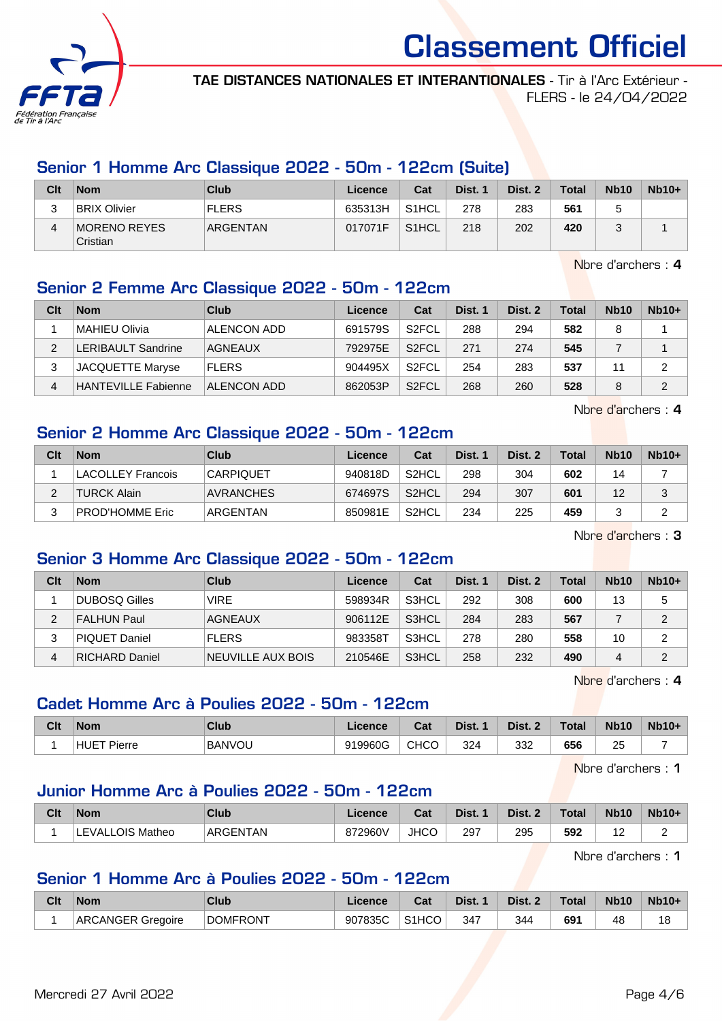

TAE DISTANCES NATIONALES ET INTERANTIONALES - Tir à l'Arc Extérieur - FLERS - le 24/04/2022

### Senior 1 Homme Arc Classique 2022 - 50m - 122cm (Suite)

| Clt | <b>Nom</b>               | Club         | Licence | Cat                | Dist. 1 | Dist. 2 | <b>Total</b> | <b>Nb10</b> | $Nb10+$ |
|-----|--------------------------|--------------|---------|--------------------|---------|---------|--------------|-------------|---------|
| ບ   | <b>BRIX Olivier</b>      | <b>FLERS</b> | 635313H | S <sub>1</sub> HCL | 278     | 283     | 561          |             |         |
| 4   | MORENO REYES<br>Cristian | ARGENTAN     | 017071F | S <sub>1</sub> HCL | 218     | 202     | 420          |             |         |

Nbre d'archers : 4

## Senior 2 Femme Arc Classique 2022 - 50m - 122cm

| Clt | <b>Nom</b>                 | Club               | Licence | Cat                | Dist. 1 | Dist. 2 | <b>Total</b> | <b>Nb10</b> | $Nb10+$ |
|-----|----------------------------|--------------------|---------|--------------------|---------|---------|--------------|-------------|---------|
|     | MAHIEU Olivia              | ALENCON ADD        | 691579S | S <sub>2</sub> FCL | 288     | 294     | 582          |             |         |
|     | <b>LERIBAULT Sandrine</b>  | AGNEAUX            | 792975E | S <sub>2</sub> FCL | 271     | 274     | 545          |             |         |
| 2   | <b>JACQUETTE Maryse</b>    | <b>FLERS</b>       | 904495X | S <sub>2</sub> FCL | 254     | 283     | 537          | 44          | 2       |
| 4   | <b>HANTEVILLE Fabienne</b> | <b>ALENCON ADD</b> | 862053P | S <sub>2</sub> FCL | 268     | 260     | 528          |             | 2       |

Nbre d'archers : 4

#### Senior 2 Homme Arc Classique 2022 - 50m - 122cm

| Clt | <b>Nom</b>         | Club             | Licence | Cat                | Dist. 1 | Dist. 2 | <b>Total</b> | <b>Nb10</b> | $Nb10+$ |
|-----|--------------------|------------------|---------|--------------------|---------|---------|--------------|-------------|---------|
|     | LACOLLEY Francois  | <b>CARPIQUET</b> | 940818D | S <sub>2</sub> HCL | 298     | 304     | 602          | 14          |         |
| ົ   | <b>TURCK Alain</b> | <b>AVRANCHES</b> | 674697S | S <sub>2</sub> HCL | 294     | 307     | 601          | 12          | ว<br>J  |
| າ   | PROD'HOMME Eric    | ARGENTAN         | 850981E | S <sub>2</sub> HCL | 234     | 225     | 459          |             |         |

Nbre d'archers : 3

#### Senior 3 Homme Arc Classique 2022 - 50m - 122cm

| Clt | <b>Nom</b>            | Club              | Licence | Cat   | Dist. 1 | Dist. 2 | Total | <b>Nb10</b> | $Nb10+$ |
|-----|-----------------------|-------------------|---------|-------|---------|---------|-------|-------------|---------|
|     | DUBOSQ Gilles         | <b>VIRE</b>       | 598934R | S3HCL | 292     | 308     | 600   | 13          | 5       |
| っ   | <b>FALHUN Paul</b>    | AGNEAUX           | 906112E | S3HCL | 284     | 283     | 567   |             | 2       |
| 3   | <b>PIQUET Daniel</b>  | <b>FLERS</b>      | 983358T | S3HCL | 278     | 280     | 558   | 10          | 2       |
| 4   | <b>RICHARD Daniel</b> | NEUVILLE AUX BOIS | 210546E | S3HCL | 258     | 232     | 490   | 4           | 2       |

Nbre d'archers : 4

#### Cadet Homme Arc à Poulies 2022 - 50m - 122cm

| Clt | <b>Nom</b>                | <b>Club</b>   | Licence | <b>Pot</b><br>⊍d | Dist. | Dist. 2 | <b>Total</b> | <b>Nb10</b> | $Nb10+$ |
|-----|---------------------------|---------------|---------|------------------|-------|---------|--------------|-------------|---------|
|     | <b>HUET Pie</b><br>Pierre | <b>BANVOU</b> | 919960G | <b>CHCO</b>      | 324   | 332     | 656          | つに<br>∠     |         |

Nbre d'archers : 1

#### Junior Homme Arc à Poulies 2022 - 50m - 122cm

| Clt | <b>Nom</b>              | Club     | Licence | $\sim$<br>⊍d | Dist.         | Dist. | <b>Total</b> | <b>Nb10</b>       | <b>Nb10+</b> |
|-----|-------------------------|----------|---------|--------------|---------------|-------|--------------|-------------------|--------------|
|     | ALLOIS<br>Matheo<br>NΔ. | ARGENTAN | 872960V | <b>JHCO</b>  | 297<br>$\sim$ | 295   | 592          | $\sqrt{2}$<br>. . | -            |

Nbre d'archers : 1

### Senior 1 Homme Arc à Poulies 2022 - 50m - 122cm

| Clt | <b>Nom</b>        | Club            | ∟icence | Cat                | Dist. | Dist. | <b>Total</b> | <b>Nb10</b> | <b>Nb10+</b> |
|-----|-------------------|-----------------|---------|--------------------|-------|-------|--------------|-------------|--------------|
|     | ARCANGER Gregoire | <b>DOMFRONT</b> | 907835C | S <sub>1</sub> HCO | 347   | 344   | 691          | 48          | 18           |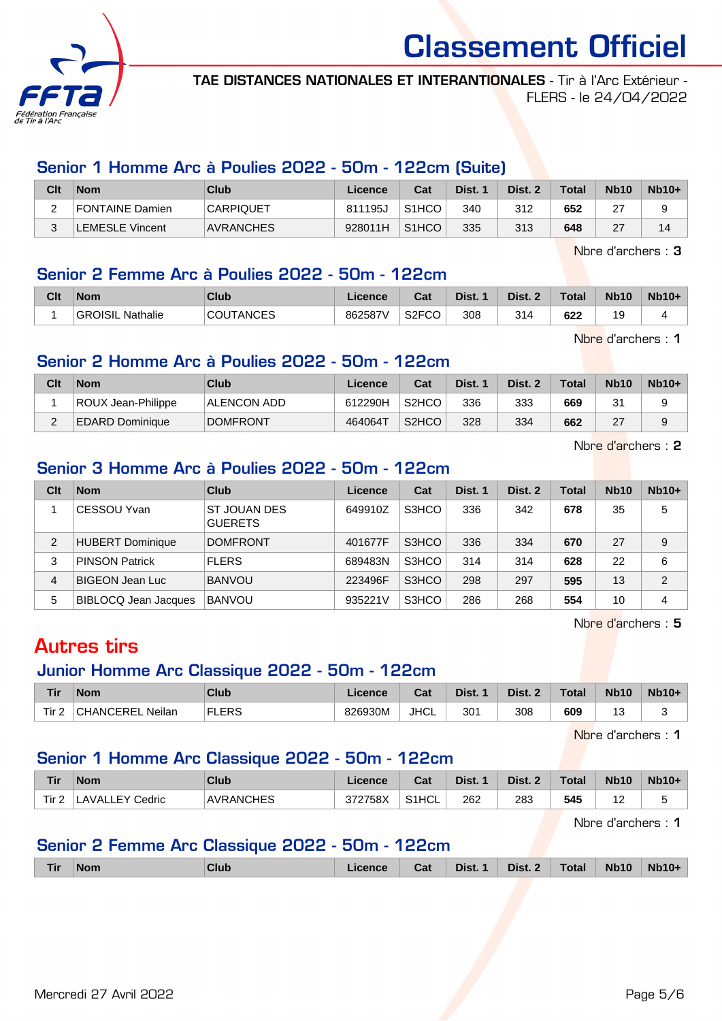

TAE DISTANCES NATIONALES ET INTERANTIONALES - Tir à l'Arc Extérieur - FLERS - le 24/04/2022

#### Senior 1 Homme Arc à Poulies 2022 - 50m - 122cm (Suite)

| Clt | <b>Nom</b>            | Club             | Licence | Cat                | Dist. | Dist. | Total | <b>Nb10</b> | $Nb10+$ |
|-----|-----------------------|------------------|---------|--------------------|-------|-------|-------|-------------|---------|
| -   | FONTAINE Damien       | <b>CARPIQUET</b> | 811195J | S <sub>1</sub> HCO | 340   | 312   | 652   | ົ<br>∠      |         |
|     | <b>EMESLE Vincent</b> | <b>AVRANCHES</b> | 928011H | S <sub>1</sub> HCO | 335   | 313   | 648   | 27          |         |

Nbre d'archers : 3

#### Senior 2 Femme Arc à Poulies 2022 - 50m - 122cm

| Clt | <b>Nom</b>               | Club   | icence  | ◠∼<br>sal    | Dist. | Dist. | <b>Total</b> | <b>Nb10</b> | $Nb10+$ |
|-----|--------------------------|--------|---------|--------------|-------|-------|--------------|-------------|---------|
|     | Nathalie<br>OISIL<br>GRO | TANCES | 862587\ | S2FCO<br>CO. | 308   | 314   | 622          | 19          |         |

Nbre d'archers : 1

#### Senior 2 Homme Arc à Poulies 2022 - 50m - 122cm

| Clt | <b>Nom</b>             | Club            | Licence | Cat                | Dist. 1 | Dist. 2 | <b>Total</b> | <b>Nb10</b> | $Nb10+$ |
|-----|------------------------|-----------------|---------|--------------------|---------|---------|--------------|-------------|---------|
|     | ROUX Jean-Philippe     | ALENCON ADD     | 612290H | S2HCO              | 336     | 333     | 669          | 31          |         |
| ົ   | <b>EDARD Dominique</b> | <b>DOMFRONT</b> | 464064T | S <sub>2</sub> HCO | 328     | 334     | 662          | 27          | a       |

Nbre d'archers : 2

#### Senior 3 Homme Arc à Poulies 2022 - 50m - 122cm

| Clt            | <b>Nom</b>              | Club                                  | Licence | Cat   | Dist. 1 | Dist. 2 | <b>Total</b> | <b>Nb10</b> | $Nb10+$       |
|----------------|-------------------------|---------------------------------------|---------|-------|---------|---------|--------------|-------------|---------------|
|                | <b>CESSOU Yvan</b>      | <b>ST JOUAN DES</b><br><b>GUERETS</b> | 649910Z | S3HCO | 336     | 342     | 678          | 35          | 5             |
| $\overline{2}$ | <b>HUBERT Dominique</b> | <b>DOMFRONT</b>                       | 401677F | S3HCO | 336     | 334     | 670          | 27          | 9             |
| 3              | <b>PINSON Patrick</b>   | <b>FLERS</b>                          | 689483N | S3HCO | 314     | 314     | 628          | 22          | 6             |
| 4              | <b>BIGEON Jean Luc</b>  | <b>BANVOU</b>                         | 223496F | S3HCO | 298     | 297     | 595          | 13          | $\mathcal{P}$ |
| 5              | BIBLOCQ Jean Jacques    | <b>BANVOU</b>                         | 935221V | S3HCO | 286     | 268     | 554          | 10          | 4             |

Nbre d'archers : 5

## Autres tirs

## Junior Homme Arc Classique 2022 - 50m - 122cm

| Tir              | <b>Nom</b>       | Club         | Licence | Cat         | Dist. 1 | Dist. 2 | Total | <b>Nb10</b> | <b>Nb10+</b> |
|------------------|------------------|--------------|---------|-------------|---------|---------|-------|-------------|--------------|
| Tir <sub>2</sub> | CHANCEREL Neilan | <b>FLERS</b> | 826930M | <b>JHCL</b> | 301     | 308     | 609   |             |              |

Nbre d'archers : 1

#### Senior 1 Homme Arc Classique 2022 - 50m - 122cm

| <b>Tir</b> | <b>Nom</b>                  | Club             | ∟icence | Cat   | Dist. | Dist. | Total | <b>Nb10</b>   | $Nb10+$ |
|------------|-----------------------------|------------------|---------|-------|-------|-------|-------|---------------|---------|
| Tir 2      | LAVALLEY <i>۲</i><br>Cedric | <b>AVRANCHES</b> | 372758X | S1HCL | 262   | 283   | 545   | $\sim$<br>. . |         |

Nbre d'archers : 1

#### Senior 2 Femme Arc Classique 2022 - 50m - 122cm

|  | Tir | <b>Nom</b> | Club | .icence | Cat | Dist. 1 | Dist. 2 | <b>Total</b> | <b>Nb10</b> | <b>Nb10+</b> |
|--|-----|------------|------|---------|-----|---------|---------|--------------|-------------|--------------|
|--|-----|------------|------|---------|-----|---------|---------|--------------|-------------|--------------|